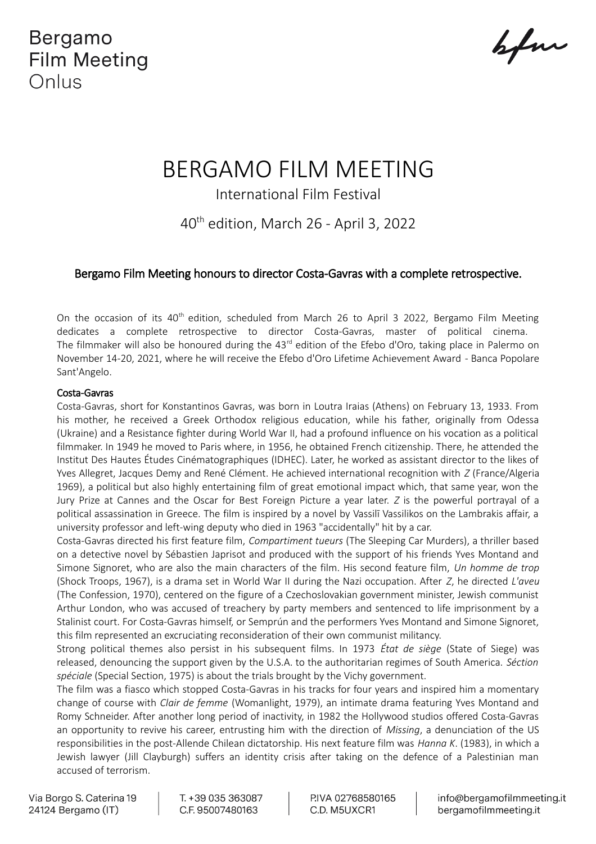Bergamo **Film Meeting** Onlus

before

# BERGAMO FILM MEETING

International Film Festival

40th edition, March 26 - April 3, 2022

## Bergamo Film Meeting honours to director Costa-Gavras with a complete retrospective.

On the occasion of its 40<sup>th</sup> edition, scheduled from March 26 to April 3 2022, Bergamo Film Meeting dedicates a complete retrospective to director Costa-Gavras, master of political cinema. The filmmaker will also be honoured during the 43<sup>rd</sup> edition of the Efebo d'Oro, taking place in Palermo on November 14-20, 2021, where he will receive the Efebo d'Oro Lifetime Achievement Award - Banca Popolare Sant'Angelo.

#### Costa-Gavras

Costa-Gavras, short for Konstantinos Gavras, was born in Loutra Iraias (Athens) on February 13, 1933. From his mother, he received a Greek Orthodox religious education, while his father, originally from Odessa (Ukraine) and a Resistance fighter during World War II, had a profound influence on his vocation as a political filmmaker. In 1949 he moved to Paris where, in 1956, he obtained French citizenship. There, he attended the Institut Des Hautes Études Cinématographiques (IDHEC). Later, he worked as assistant director to the likes of Yves Allegret, Jacques Demy and René Clément. He achieved international recognition with *Z* (France/Algeria 1969), a political but also highly entertaining film of great emotional impact which, that same year, won the Jury Prize at Cannes and the Oscar for Best Foreign Picture a year later. *Z* is the powerful portrayal of a political assassination in Greece. The film is inspired by a novel by Vassilī Vassilikos on the Lambrakis affair, a university professor and left-wing deputy who died in 1963 "accidentally" hit by a car.

Costa-Gavras directed his first feature film, *Compartiment tueurs* (The Sleeping Car Murders), a thriller based on a detective novel by Sébastien Japrisot and produced with the support of his friends Yves Montand and Simone Signoret, who are also the main characters of the film. His second feature film, *Un homme de trop* (Shock Troops, 1967), is a drama set in World War II during the Nazi occupation. After *Z*, he directed *L'aveu* (The Confession, 1970), centered on the figure of a Czechoslovakian government minister, Jewish communist Arthur London, who was accused of treachery by party members and sentenced to life imprisonment by a Stalinist court. For Costa-Gavras himself, or Semprún and the performers Yves Montand and Simone Signoret, this film represented an excruciating reconsideration of their own communist militancy.

Strong political themes also persist in his subsequent films. In 1973 *État de siège* (State of Siege) was released, denouncing the support given by the U.S.A. to the authoritarian regimes of South America. *Séction spéciale* (Special Section, 1975) is about the trials brought by the Vichy government.

The film was a fiasco which stopped Costa-Gavras in his tracks for four years and inspired him a momentary change of course with *Clair de femme* (Womanlight, 1979), an intimate drama featuring Yves Montand and Romy Schneider. After another long period of inactivity, in 1982 the Hollywood studios offered Costa-Gavras an opportunity to revive his career, entrusting him with the direction of *Missing*, a denunciation of the US responsibilities in the post-Allende Chilean dictatorship. His next feature film was *Hanna K*. (1983), in which a Jewish lawyer (Jill Clayburgh) suffers an identity crisis after taking on the defence of a Palestinian man accused of terrorism.

Via Borgo S. Caterina 19 24124 Bergamo (IT)

T. +39 035 363087 C.F. 95007480163

PIVA 02768580165 C.D. M5UXCR1

info@bergamofilmmeeting.it bergamofilmmeeting.it